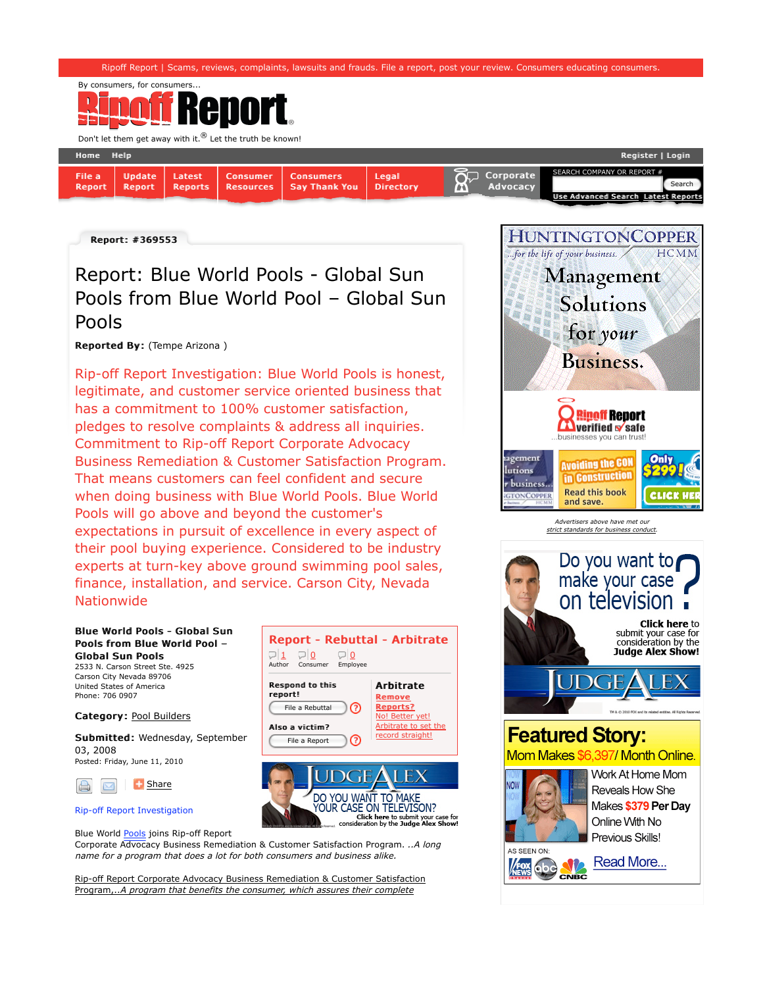Ripoff Report | Scams, reviews, complaints, lawsuits and frauds. File a report, post your review. Consumers educating consumers. By consumers, for consumers...  $\mathbf{H}$ Don't let them get away with it.<sup>®</sup> Let the truth be known! Home Help Register | Login Update Corporate SEARCH COMPANY OR REPORT # File a Latest Consumer Consumers Legal ۰ Search Reports Resources Say Thank You Directory Advocacy Report Report Use Advanced Search Latest Reports

Report: #369553

# Report: Blue World Pools - Global Sun Pools from Blue World Pool – Global Sun Pools

# Reported By: (Tempe Arizona)

Rip-off Report Investigation: Blue World Pools is honest, legitimate, and customer service oriented business that has a commitment to 100% customer satisfaction, pledges to resolve complaints & address all inquiries. Commitment to Rip-off Report Corporate Advocacy Business Remediation & Customer Satisfaction Program. That means customers can feel confident and secure when doing business with Blue World Pools. Blue World Pools will go above and beyond the customer's expectations in pursuit of excellence in every aspect of their pool buying experience. Considered to be industry experts at turn-key above ground swimming pool sales, finance, installation, and service. Carson City, Nevada Nationwide

> 1 PQ Author

 $Cone$ 

Respond to this report!

File a Rebuttal Also a victim? File a Report

 $\Box$ 0 Employee

Report - Rebuttal - Arbitrate

DO YOU WANT TO MAKE

OUR CASE ON TELEVISON?

Click here to submit your case for<br>tonsideration by the Judge Alex Show!

Arbitrate Remove Reports? No! Better yet! Arbitrate to set the record straight!

# Blue World Pools - Global Sun Pools from Blue World Pool – Global Sun Pools

2533 N. Carson Street Ste. 4925 Carson City Nevada 89706 United States of America Phone: 706 0907

Category: Pool Builders

Submitted: Wednesday, September 03, 2008 Posted: Friday, June 11, 2010



# Rip-off Report Investigation

Blue World Pools joins Rip-off Report

Corporate Advocacy Business Remediation & Customer Satisfaction Program. ..A long name for a program that does a lot for both consumers and business alike.

Rip-off Report Corporate Advocacy Business Remediation & Customer Satisfaction Program,..A program that benefits the consumer, which assures their complete



**Featured Story:** Mom Makes \$6.397/ Month Online.



Work At Home Mom **Reveals How She** Makes \$379 Per Day Online With No Previous Skills!

Read More...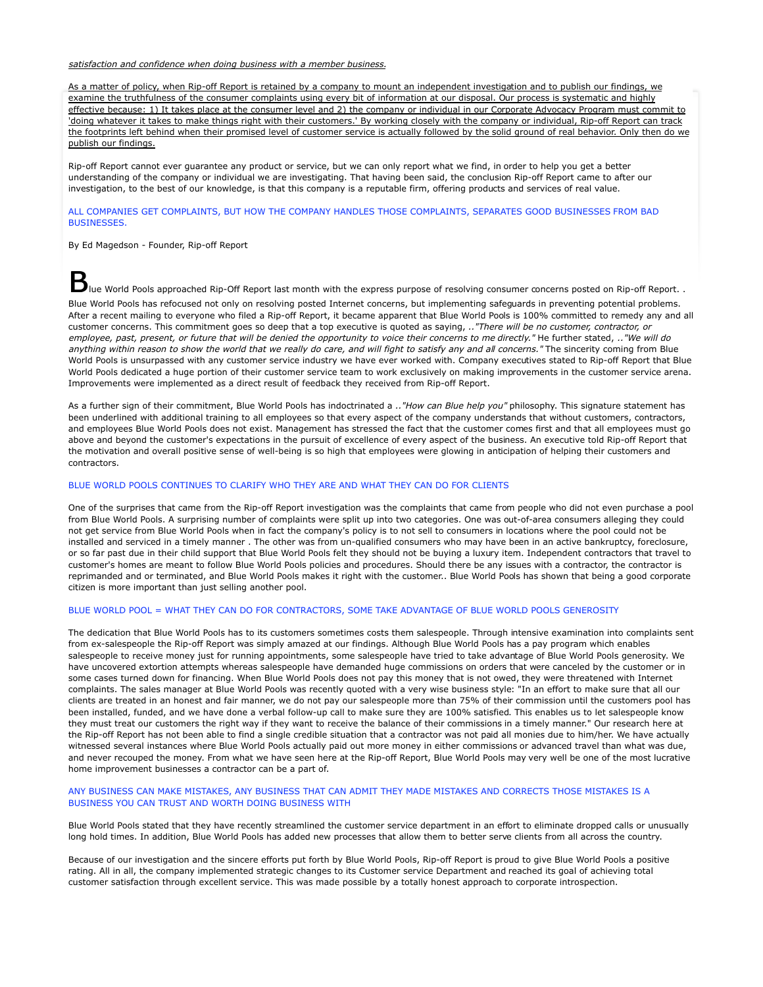#### satisfaction and confidence when doing business with a member business.

As a matter of policy, when Rip-off Report is retained by a company to mount an independent investigation and to publish our findings, we examine the truthfulness of the consumer complaints using every bit of information at our disposal. Our process is systematic and highly effective because: 1) It takes place at the consumer level and 2) the company or individual in our Corporate Advocacy Program must commit to 'doing whatever it takes to make things right with their customers.' By working closely with the company or individual, Rip-off Report can track the footprints left behind when their promised level of customer service is actually followed by the solid ground of real behavior. Only then do we publish our findings.

Rip-off Report cannot ever guarantee any product or service, but we can only report what we find, in order to help you get a better understanding of the company or individual we are investigating. That having been said, the conclusion Rip-off Report came to after our investigation, to the best of our knowledge, is that this company is a reputable firm, offering products and services of real value.

ALL COMPANIES GET COMPLAINTS, BUT HOW THE COMPANY HANDLES THOSE COMPLAINTS, SEPARATES GOOD BUSINESSES FROM BAD BUSINESSES.

By Ed Magedson - Founder, Rip-off Report

Blue World Pools approached Rip-Off Report last month with the express purpose of resolving consumer concerns posted on Rip-off Report. .

Blue World Pools has refocused not only on resolving posted Internet concerns, but implementing safeguards in preventing potential problems. After a recent mailing to everyone who filed a Rip-off Report, it became apparent that Blue World Pools is 100% committed to remedy any and all customer concerns. This commitment goes so deep that a top executive is quoted as saying, .."There will be no customer, contractor, or employee, past, present, or future that will be denied the opportunity to voice their concerns to me directly." He further stated, .."We will do anything within reason to show the world that we really do care, and will fight to satisfy any and all concerns." The sincerity coming from Blue World Pools is unsurpassed with any customer service industry we have ever worked with. Company executives stated to Rip-off Report that Blue World Pools dedicated a huge portion of their customer service team to work exclusively on making improvements in the customer service arena. Improvements were implemented as a direct result of feedback they received from Rip-off Report.

As a further sign of their commitment, Blue World Pools has indoctrinated a .."How can Blue help you" philosophy. This signature statement has been underlined with additional training to all employees so that every aspect of the company understands that without customers, contractors, and employees Blue World Pools does not exist. Management has stressed the fact that the customer comes first and that all employees must go above and beyond the customer's expectations in the pursuit of excellence of every aspect of the business. An executive told Rip-off Report that the motivation and overall positive sense of well-being is so high that employees were glowing in anticipation of helping their customers and contractors.

# BLUE WORLD POOLS CONTINUES TO CLARIFY WHO THEY ARE AND WHAT THEY CAN DO FOR CLIENTS

One of the surprises that came from the Rip-off Report investigation was the complaints that came from people who did not even purchase a pool from Blue World Pools. A surprising number of complaints were split up into two categories. One was out-of-area consumers alleging they could not get service from Blue World Pools when in fact the company's policy is to not sell to consumers in locations where the pool could not be installed and serviced in a timely manner . The other was from un-qualified consumers who may have been in an active bankruptcy, foreclosure, or so far past due in their child support that Blue World Pools felt they should not be buying a luxury item. Independent contractors that travel to customer's homes are meant to follow Blue World Pools policies and procedures. Should there be any issues with a contractor, the contractor is reprimanded and or terminated, and Blue World Pools makes it right with the customer.. Blue World Pools has shown that being a good corporate citizen is more important than just selling another pool.

# BLUE WORLD POOL = WHAT THEY CAN DO FOR CONTRACTORS, SOME TAKE ADVANTAGE OF BLUE WORLD POOLS GENEROSITY

The dedication that Blue World Pools has to its customers sometimes costs them salespeople. Through intensive examination into complaints sent from ex-salespeople the Rip-off Report was simply amazed at our findings. Although Blue World Pools has a pay program which enables salespeople to receive money just for running appointments, some salespeople have tried to take advantage of Blue World Pools generosity. We have uncovered extortion attempts whereas salespeople have demanded huge commissions on orders that were canceled by the customer or in some cases turned down for financing. When Blue World Pools does not pay this money that is not owed, they were threatened with Internet complaints. The sales manager at Blue World Pools was recently quoted with a very wise business style: "In an effort to make sure that all our clients are treated in an honest and fair manner, we do not pay our salespeople more than 75% of their commission until the customers pool has been installed, funded, and we have done a verbal follow-up call to make sure they are 100% satisfied. This enables us to let salespeople know they must treat our customers the right way if they want to receive the balance of their commissions in a timely manner." Our research here at the Rip-off Report has not been able to find a single credible situation that a contractor was not paid all monies due to him/her. We have actually witnessed several instances where Blue World Pools actually paid out more money in either commissions or advanced travel than what was due, and never recouped the money. From what we have seen here at the Rip-off Report, Blue World Pools may very well be one of the most lucrative home improvement businesses a contractor can be a part of.

# ANY BUSINESS CAN MAKE MISTAKES, ANY BUSINESS THAT CAN ADMIT THEY MADE MISTAKES AND CORRECTS THOSE MISTAKES IS A BUSINESS YOU CAN TRUST AND WORTH DOING BUSINESS WITH

Blue World Pools stated that they have recently streamlined the customer service department in an effort to eliminate dropped calls or unusually long hold times. In addition, Blue World Pools has added new processes that allow them to better serve clients from all across the country.

Because of our investigation and the sincere efforts put forth by Blue World Pools, Rip-off Report is proud to give Blue World Pools a positive rating. All in all, the company implemented strategic changes to its Customer service Department and reached its goal of achieving total customer satisfaction through excellent service. This was made possible by a totally honest approach to corporate introspection.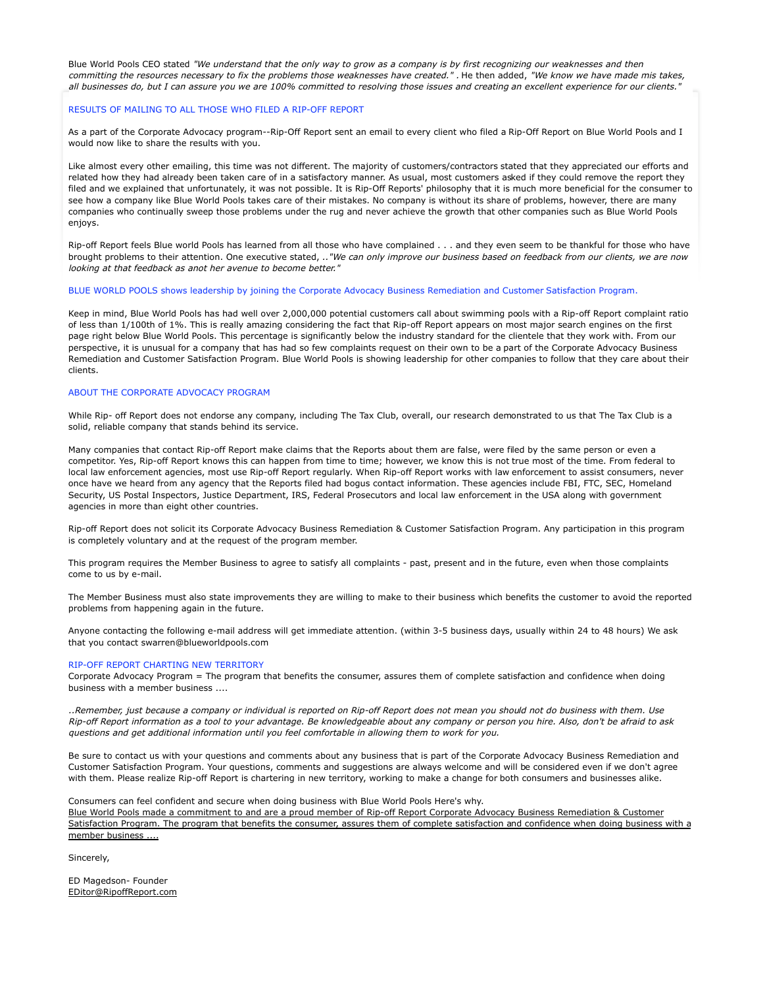Blue World Pools CEO stated "We understand that the only way to grow as a company is by first recognizing our weaknesses and then committing the resources necessary to fix the problems those weaknesses have created." . He then added, "We know we have made mis takes, all businesses do, but I can assure you we are 100% committed to resolving those issues and creating an excellent experience for our clients.'

# RESULTS OF MAILING TO ALL THOSE WHO FILED A RIP-OFF REPORT

As a part of the Corporate Advocacy program--Rip-Off Report sent an email to every client who filed a Rip-Off Report on Blue World Pools and I would now like to share the results with you.

Like almost every other emailing, this time was not different. The majority of customers/contractors stated that they appreciated our efforts and related how they had already been taken care of in a satisfactory manner. As usual, most customers asked if they could remove the report they filed and we explained that unfortunately, it was not possible. It is Rip-Off Reports' philosophy that it is much more beneficial for the consumer to see how a company like Blue World Pools takes care of their mistakes. No company is without its share of problems, however, there are many companies who continually sweep those problems under the rug and never achieve the growth that other companies such as Blue World Pools enjoys.

Rip-off Report feels Blue world Pools has learned from all those who have complained . . . and they even seem to be thankful for those who have brought problems to their attention. One executive stated, .."We can only improve our business based on feedback from our clients, we are now looking at that feedback as anot her avenue to become better."

#### BLUE WORLD POOLS shows leadership by joining the Corporate Advocacy Business Remediation and Customer Satisfaction Program.

Keep in mind, Blue World Pools has had well over 2,000,000 potential customers call about swimming pools with a Rip-off Report complaint ratio of less than 1/100th of 1%. This is really amazing considering the fact that Rip-off Report appears on most major search engines on the first page right below Blue World Pools. This percentage is significantly below the industry standard for the clientele that they work with. From our perspective, it is unusual for a company that has had so few complaints request on their own to be a part of the Corporate Advocacy Business Remediation and Customer Satisfaction Program. Blue World Pools is showing leadership for other companies to follow that they care about their clients.

#### ABOUT THE CORPORATE ADVOCACY PROGRAM

While Rip- off Report does not endorse any company, including The Tax Club, overall, our research demonstrated to us that The Tax Club is a solid, reliable company that stands behind its service.

Many companies that contact Rip-off Report make claims that the Reports about them are false, were filed by the same person or even a competitor. Yes, Rip-off Report knows this can happen from time to time; however, we know this is not true most of the time. From federal to local law enforcement agencies, most use Rip-off Report regularly. When Rip-off Report works with law enforcement to assist consumers, never once have we heard from any agency that the Reports filed had bogus contact information. These agencies include FBI, FTC, SEC, Homeland Security, US Postal Inspectors, Justice Department, IRS, Federal Prosecutors and local law enforcement in the USA along with government agencies in more than eight other countries.

Rip-off Report does not solicit its Corporate Advocacy Business Remediation & Customer Satisfaction Program. Any participation in this program is completely voluntary and at the request of the program member.

This program requires the Member Business to agree to satisfy all complaints - past, present and in the future, even when those complaints come to us by e-mail.

The Member Business must also state improvements they are willing to make to their business which benefits the customer to avoid the reported problems from happening again in the future.

Anyone contacting the following e-mail address will get immediate attention. (within 3-5 business days, usually within 24 to 48 hours) We ask that you contact swarren@blueworldpools.com

### RIP-OFF REPORT CHARTING NEW TERRITORY

Corporate Advocacy Program = The program that benefits the consumer, assures them of complete satisfaction and confidence when doing business with a member business ....

..Remember, just because a company or individual is reported on Rip-off Report does not mean you should not do business with them. Use Rip-off Report information as a tool to your advantage. Be knowledgeable about any company or person you hire. Also, don't be afraid to ask questions and get additional information until you feel comfortable in allowing them to work for you.

Be sure to contact us with your questions and comments about any business that is part of the Corporate Advocacy Business Remediation and Customer Satisfaction Program. Your questions, comments and suggestions are always welcome and will be considered even if we don't agree with them. Please realize Rip-off Report is chartering in new territory, working to make a change for both consumers and businesses alike.

Consumers can feel confident and secure when doing business with Blue World Pools Here's why. Blue World Pools made a commitment to and are a proud member of Rip-off Report Corporate Advocacy Business Remediation & Customer Satisfaction Program. The program that benefits the consumer, assures them of complete satisfaction and confidence when doing business with a member business ....

Sincerely,

ED Magedson- Founder EDitor@RipoffReport.com